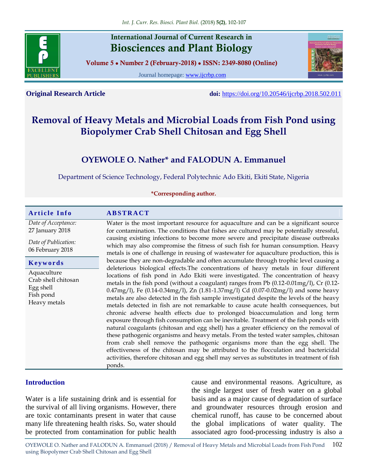

## **International Journal of Current Research in Biosciences and Plant Biology**

**Volume 5 ● Number 2 (February-2018) ● ISSN: 2349-8080 (Online)**

Journal homepage: [www.ijcrbp.com](http://www.ijcrbp.com/)



**Original Research Article doi:** <https://doi.org/10.20546/ijcrbp.2018.502.011>

# **Removal of Heavy Metals and Microbial Loads from Fish Pond using Biopolymer Crab Shell Chitosan and Egg Shell**

## **OYEWOLE O. Nather\* and FALODUN A. Emmanuel**

Department of Science Technology, Federal Polytechnic Ado Ekiti, Ekiti State, Nigeria

**\*Corresponding author.**

#### **A r t i c l e I n f o A B S T R A C T** *Date of Acceptance:* 27 January 2018 *Date of Publication:* 06 February 2018 Water is the most important resource for aquaculture and can be a significant source for contamination. The conditions that fishes are cultured may be potentially stressful, causing existing infections to become more severe and precipitate disease outbreaks which may also compromise the fitness of such fish for human consumption. Heavy metals is one of challenge in reusing of wastewater for aquaculture production, this is because they are non-degradable and often accumulate through trophic level causing a deleterious biological effects.The concentrations of heavy metals in four different locations of fish pond in Ado Ekiti were investigated. The concentration of heavy metals in the fish pond (without a coagulant) ranges from Pb (0.12-0.01mg/l), Cr (0.12- 0.47mg/l), Fe (0.14-0.34mg/l), Zn (1.81-1.37mg/l) Cd (0.07-0.02mg/l) and some heavy metals are also detected in the fish sample investigated despite the levels of the heavy metals detected in fish are not remarkable to cause acute health consequences, but chronic adverse health effects due to prolonged bioaccumulation and long term exposure through fish consumption can be inevitable. Treatment of the fish ponds with natural coagulants (chitosan and egg shell) has a greater efficiency on the removal of these pathogenic organisms and heavy metals. From the tested water samples, chitosan from crab shell remove the pathogenic organisms more than the egg shell. The effectiveness of the chitosan may be attributed to the flocculation and bactericidal activities, therefore chitosan and egg shell may serves as substitutes in treatment of fish ponds. **K e y w o r d s** Aquaculture Crab shell chitosan Egg shell Fish pond Heavy metals

## **Introduction**

Water is a life sustaining drink and is essential for the survival of all living organisms. However, there are toxic contaminants present in water that cause many life threatening health risks. So, water should be protected from contamination for public health cause and environmental reasons. Agriculture, as the single largest user of fresh water on a global basis and as a major cause of degradation of surface and groundwater resources through erosion and chemical runoff, has cause to be concerned about the global implications of water quality. The associated agro food-processing industry is also a

OYEWOLE O. Nather and FALODUN A. Emmanuel (2018) / Removal of Heavy Metals and Microbial Loads from Fish Pond using Biopolymer Crab Shell Chitosan and Egg Shell 102

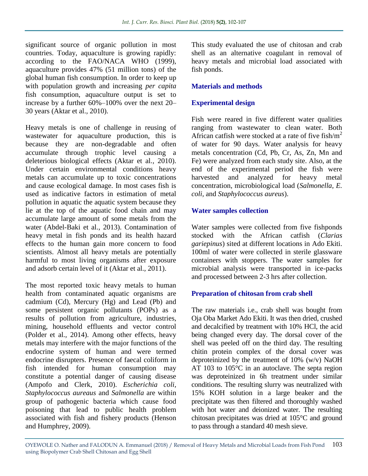significant source of organic pollution in most countries. Today, aquaculture is growing rapidly: according to the FAO/NACA WHO (1999), aquaculture provides 47% (51 million tons) of the global human fish consumption. In order to keep up with population growth and increasing *per capita*  fish consumption, aquaculture output is set to increase by a further 60%–100% over the next 20– 30 years (Aktar et al.*,* 2010).

Heavy metals is one of challenge in reusing of wastewater for aquaculture production, this is because they are non-degradable and often accumulate through trophic level causing a deleterious biological effects (Aktar et al.*,* 2010). Under certain environmental conditions heavy metals can accumulate up to toxic concentrations and cause ecological damage. In most cases fish is used as indicative factors in estimation of metal pollution in aquatic the aquatic system because they lie at the top of the aquatic food chain and may accumulate large amount of some metals from the water (Abdel-Baki et al.*,* 2013). Contamination of heavy metal in fish ponds and its health hazard effects to the human gain more concern to food scientists. Almost all heavy metals are potentially harmful to most living organisms after exposure and adsorb certain level of it (Aktar et al.*,* 2011).

The most reported toxic heavy metals to human health from contaminated aquatic organisms are cadmium (Cd), Mercury (Hg) and Lead (Pb) and some persistent organic pollutants (POPs) as a results of pollution from agriculture, industries, mining, household effluents and vector control (Polder et al.*,* 2014). Among other effects, heavy metals may interfere with the major functions of the endocrine system of human and were termed endocrine disrupters. Presence of faecal coliform in fish intended for human consumption may constitute a potential danger of causing disease (Ampofo and Clerk, 2010). *Escherichia coli, Staphylococcus aureaus* and *Salmonella* are within group of pathogenic bacteria which cause food poisoning that lead to public health problem associated with fish and fishery products (Henson and Humphrey, 2009).

This study evaluated the use of chitosan and crab shell as an alternative coagulant in removal of heavy metals and microbial load associated with fish ponds.

## **Materials and methods**

## **Experimental design**

Fish were reared in five different water qualities ranging from wastewater to clean water. Both African catfish were stocked at a rate of five fish/ $m<sup>2</sup>$ of water for 90 days. Water analysis for heavy metals concentration (Cd, Pb, Cr, As, Zn, Mn and Fe) were analyzed from each study site. Also, at the end of the experimental period the fish were harvested and analyzed for heavy metal concentration, microbiological load (*Salmonella, E. coli,* and *Staphylococcus aureus*).

## **Water samples collection**

Water samples were collected from five fishponds stocked with the African catfish (*Clarias gariepinus*) sited at different locations in Ado Ekiti. 100ml of water were collected in sterile glassware containers with stoppers. The water samples for microbial analysis were transported in ice-packs and processed between 2-3 hrs after collection.

## **Preparation of chitosan from crab shell**

The raw materials i.e., crab shell was bought from Oja Oba Market Ado Ekiti. It was then dried, crushed and decalcified by treatment with 10% HCl, the acid being changed every day. The dorsal cover of the shell was peeled off on the third day. The resulting chitin protein complex of the dorsal cover was deproteinized by the treatment of 10% (w/v) NaOH AT 103 to 105°C in an autoclave. The septa region was deproteinized in 6h treatment under similar conditions. The resulting slurry was neutralized with 15% KOH solution in a large beaker and the precipitate was then filtered and thoroughly washed with hot water and deionized water. The resulting chitosan precipitates was dried at 105°C and ground to pass through a standard 40 mesh sieve.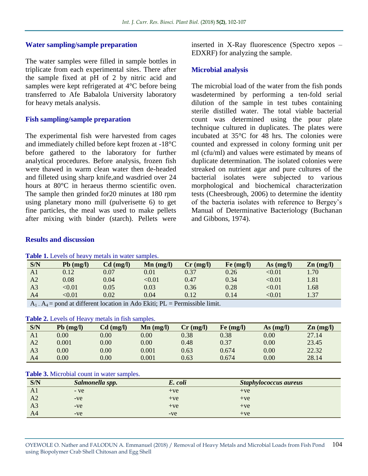#### **Water sampling/sample preparation**

The water samples were filled in sample bottles in triplicate from each experimental sites. There after the sample fixed at pH of 2 by nitric acid and samples were kept refrigerated at 4<sup>°</sup>C before being transferred to Afe Babalola University laboratory for heavy metals analysis.

#### **Fish sampling/sample preparation**

The experimental fish were harvested from cages and immediately chilled before kept frozen at -18°C before gathered to the laboratory for further analytical procedures. Before analysis, frozen fish were thawed in warm clean water then de-headed and filleted using sharp knife,and wasdried over 24 hours at 80°C in heraeus thermo scientific oven. The sample then grinded for20 minutes at 180 rpm using planetary mono mill (pulverisette 6) to get fine particles, the meal was used to make pellets after mixing with binder (starch). Pellets were

#### **Results and discussion**

|  | Table 1. Levels of heavy metals in water samples. |
|--|---------------------------------------------------|
|--|---------------------------------------------------|

inserted in X-Ray fluorescence (Spectro xepos – EDXRF) for analyzing the sample.

#### **Microbial analysis**

The microbial load of the water from the fish ponds wasdetermined by performing a ten-fold serial dilution of the sample in test tubes containing sterile distilled water. The total viable bacterial count was determined using the pour plate technique cultured in duplicates. The plates were incubated at 35°C for 48 hrs. The colonies were counted and expressed in colony forming unit per ml (cfu/ml) and values were estimated by means of duplicate determination. The isolated colonies were streaked on nutrient agar and pure cultures of the bacterial isolates were subjected to various morphological and biochemical characterization tests (Cheesbrough, 2006) to determine the identity of the bacteria isolates with reference to Bergey's Manual of Determinative Bacteriology (Buchanan and Gibbons, 1974).

| S/N            | $Pb$ (mg/l) | $Cd$ (mg/l) | $\mathbf{Mn}$ (mg/l) | $Cr$ (mg/l) | Fe (mg/l) | $As$ (mg/l) | $\mathbf{Zn}$ (mg/l) |
|----------------|-------------|-------------|----------------------|-------------|-----------|-------------|----------------------|
| A1             | 0.12        | 0.07        | 0.01                 | 0.37        | 0.26      | < 0.01      | $1.70^{+}$           |
| A <sub>2</sub> | 0.08        | 0.04        | < 0.01               | 0.47        | 0.34      | < 0.01      | 1.81                 |
| A <sub>3</sub> | < 0.01      | 0.05        | 0.03                 | 0.36        | 0.28      | < 0.01      | 1.68                 |
| A4             | < 0.01      | 0.02        | 0.04                 | 0.12        | 0.14      | < 0.01      | 1.37                 |

 $A_1 - A_4$  = pond at different location in Ado Ekiti; PL = Permissible limit.

| S/N | $Pb$ (mg/l) | $Cd$ (mg/l) | $\text{Mn}$ (mg/l) | $Cr$ (mg/l) | Fe (mg/l) | $As$ (mg/l) | $\mathbf{Zn}$ (mg/l) |
|-----|-------------|-------------|--------------------|-------------|-----------|-------------|----------------------|
| A1  | $0.00\,$    | $0.00\,$    | 0.00               | 0.38        | 0.38      | 0.00        | 27.14                |
| A2  | 0.001       | $0.00\,$    | 0.00               | 0.48        | 0.37      | 0.00        | 23.45                |
| A3  | $0.00\,$    | $0.00\,$    | $0.001\,$          | 0.63        | 0.674     | 0.00        | 22.32                |
| A4  | $0.00\,$    | $0.00\,$    | $0.001\,$          | 0.63        | 0.674     | 0.00        | 28.14                |

#### **Table 3.** Microbial count in water samples.

| S/N            | Salmonella spp. | E. coli | Staphylococcus aureus |
|----------------|-----------------|---------|-----------------------|
| A1             | $-ve$           | $+ve$   | $+ve$                 |
| A <sub>2</sub> | $-ve$           | $+ve$   | $+ve$                 |
| A <sub>3</sub> | $-ve$           | $+ve$   | $+ve$                 |
| A <sub>4</sub> | $-ve$           | $-ve$   | $+ve$                 |

OYEWOLE O. Nather and FALODUN A. Emmanuel (2018) / Removal of Heavy Metals and Microbial Loads from Fish Pond using Biopolymer Crab Shell Chitosan and Egg Shell 104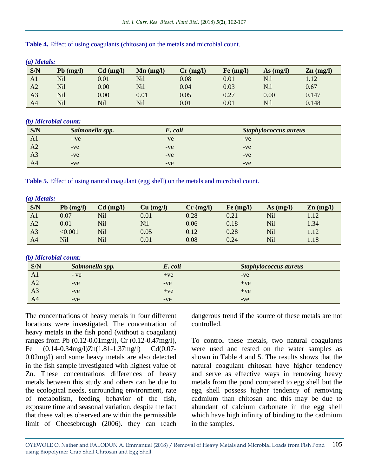| (a) Metals:    |             |             |                               |             |           |             |                      |
|----------------|-------------|-------------|-------------------------------|-------------|-----------|-------------|----------------------|
| S/N            | $Pb$ (mg/l) | $Cd$ (mg/l) | $\mathbf{M}\mathbf{n}$ (mg/l) | $Cr$ (mg/l) | Fe (mg/l) | $As$ (mg/l) | $\mathbf{Zn}$ (mg/l) |
| A1             | Nil         | 0.01        | Nil                           | 0.08        | 0.01      | Nil         | 1.12                 |
| A2             | Nil         | 0.00        | Nil                           | 0.04        | 0.03      | Nil         | 0.67                 |
| A <sub>3</sub> | Nil         | 0.00        | 0.01                          | 0.05        | 0.27      | 0.00        | 0.147                |
| A4             | Nil         | Nil         | Nil                           | 0.01        | 0.01      | Nil         | 0.148                |

#### **Table 4.** Effect of using coagulants (chitosan) on the metals and microbial count.

#### *(b) Microbial count:*

| S/N            | Salmonella spp. | E. coli | <b>Staphylococcus aureus</b> |
|----------------|-----------------|---------|------------------------------|
| A1             | $-ve$           | $-ve$   | $-ve$                        |
| A2             | $-ve$           | $-ve$   | $-ve$                        |
| A <sub>3</sub> | $-ve$           | $-ve$   | $-ve$                        |
| A4             | $-ve$           | $-ve$   | $-ve$                        |

**Table 5.** Effect of using natural coagulant (egg shell) on the metals and microbial count.

| $(a)$ Metals:  |             |             |           |             |           |             |                      |
|----------------|-------------|-------------|-----------|-------------|-----------|-------------|----------------------|
| S/N            | $Pb$ (mg/l) | $Cd$ (mg/l) | Cu (mg/l) | $Cr$ (mg/l) | Fe (mg/l) | As $(mg/l)$ | $\mathbf{Zn}$ (mg/l) |
| A1             | 0.07        | Nil         | $0.01\,$  | 0.28        | 0.21      | Nil         | 1.12                 |
| A2             | 0.01        | Nil         | Nil       | 0.06        | 0.18      | Nil         | 1.34                 |
| A <sub>3</sub> | < 0.001     | Nil         | 0.05      | 0.12        | 0.28      | Nil         | 1.12                 |
| A4             | Nil         | Nil         | 0.01      | 0.08        | 0.24      | Nil         | 1.18                 |

### *(b) Microbial count:*

| S/N            | Salmonella spp. | E. coli | <b>Staphylococcus aureus</b> |
|----------------|-----------------|---------|------------------------------|
| A1             | $-ve$           | $+ve$   | $-ve$                        |
| A2             | $-ve$           | $-ve$   | $+ve$                        |
| A <sub>3</sub> | $-ve$           | $+ve$   | $+ve$                        |
| A <sub>4</sub> | $-ve$           | $-ve$   | $-ve$                        |

The concentrations of heavy metals in four different locations were investigated. The concentration of heavy metals in the fish pond (without a coagulant) ranges from Pb (0.12-0.01mg/l), Cr (0.12-0.47mg/l), Fe (0.14-0.34mg/l)Zn(1.81-1.37mg/l) Cd(0.07- 0.02mg/l) and some heavy metals are also detected in the fish sample investigated with highest value of Zn. These concentrations differences of heavy metals between this study and others can be due to the ecological needs, surrounding environment, rate of metabolism, feeding behavior of the fish, exposure time and seasonal variation, despite the fact that these values observed are within the permissible limit of Cheesebrough (2006). they can reach

dangerous trend if the source of these metals are not controlled.

To control these metals, two natural coagulants were used and tested on the water samples as shown in Table 4 and 5. The results shows that the natural coagulant chitosan have higher tendency and serve as effective ways in removing heavy metals from the pond compared to egg shell but the egg shell possess higher tendency of removing cadmium than chitosan and this may be due to abundant of calcium carbonate in the egg shell which have high infinity of binding to the cadmium in the samples.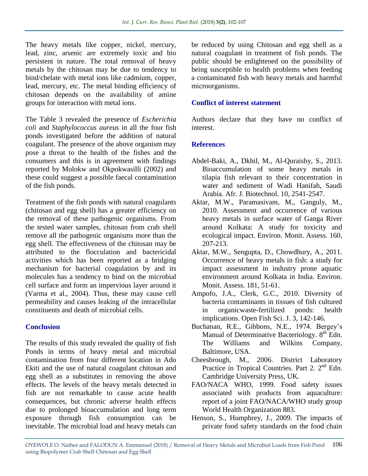The heavy metals like copper, nickel, mercury, lead, zinc, arsenic are extremely toxic and bio persistent in nature. The total removal of heavy metals by the chitosan may be due to tendency to bind/chelate with metal ions like cadmium, copper, lead, mercury, etc. The metal binding efficiency of chitosan depends on the availability of amine groups for interaction with metal ions.

The Table 3 revealed the presence of *Escherichia coli* and *Staphylococcus aureus* in all the four fish ponds investigated before the addition of natural coagulant. The presence of the above organism may pose a threat to the health of the fishes and the consumers and this is in agreement with findings reported by Molokw and Okpokwasilli (2002) and these could suggest a possible faecal contamination of the fish ponds.

Treatment of the fish ponds with natural coagulants (chitosan and egg shell) has a greater efficiency on the removal of these pathogenic organisms. From the tested water samples, chitosan from crab shell remove all the pathogenic organisms more than the egg shell. The effectiveness of the chitosan may be attributed to the flocculation and bactericidal activities which has been reported as a bridging mechanism for bacterial coagulation by and its molecules has a tendency to bind on the microbial cell surface and form an impervious layer around it (Varma et al.*,* 2004). Thus, these may cause cell permeability and causes leaking of the intracellular constituents and death of microbial cells.

## **Conclusion**

The results of this study revealed the quality of fish Ponds in terms of heavy metal and microbial contamination from four different location in Ado Ekiti and the use of natural coagulant chitosan and egg shell as a substitutes in removing the above effects. The levels of the heavy metals detected in fish are not remarkable to cause acute health consequences, but chronic adverse health effects due to prolonged bioaccumulation and long term exposure through fish consumption can be inevitable. The microbial load and heavy metals can

be reduced by using Chitosan and egg shell as a natural coagulant in treatment of fish ponds. The public should be enlightened on the possibility of being susceptible to health problems when feeding a contaminated fish with heavy metals and harmful microorganisms.

## **Conflict of interest statement**

Authors declare that they have no conflict of interest.

## **References**

- Abdel-Baki, A., Dkhil, M., Al-Quraishy, S., 2013. Bioaccumulation of some heavy metals in tilapia fish relevant to their concentration in water and sediment of Wadi Hanifah, Saudi Arabia. Afr. J. Biotechnol. 10, 2541-2547.
- Aktar, M.W., Paramasivam, M., Ganguly, M., 2010. Assessment and occurrence of various heavy metals in surface water of Ganga River around Kolkata: A study for toxicity and ecological impact. Environ. Monit. Assess. 160, 207-213.
- Aktar, M.W., Sengupta, D., Chowdhury, A., 2011. Occurrence of heavy metals in fish: a study for impact assessment in industry prone aquatic environment around Kolkata in India. Environ. Monit. Assess. 181, 51-61.
- Ampofo, J.A., Clerk, G.C., 2010. Diversity of bacteria contaminants in tissues of fish cultured in organicwaste-fertilized ponds: health implications. Open Fish Sci. J. 3, 142-146.
- Buchanan, R.E., Gibbons, N.E., 1974. Bergey's Manual of Determinative Bacteriology. 8<sup>th</sup> Edn. The Williams and Wilkins Company, Baltimore, USA.
- Cheesbrough, M., 2006. District Laboratory Practice in Tropical Countries. Part 2. 2<sup>nd</sup> Edn. Cambridge University Press, UK.
- FAO/NACA WHO, 1999. Food safety issues associated with products from aquaculture: report of a joint FAO/NACA/WHO study group World Health Organization 883.
- Henson, S., Humphrey, J., 2009. The impacts of private food safety standards on the food chain